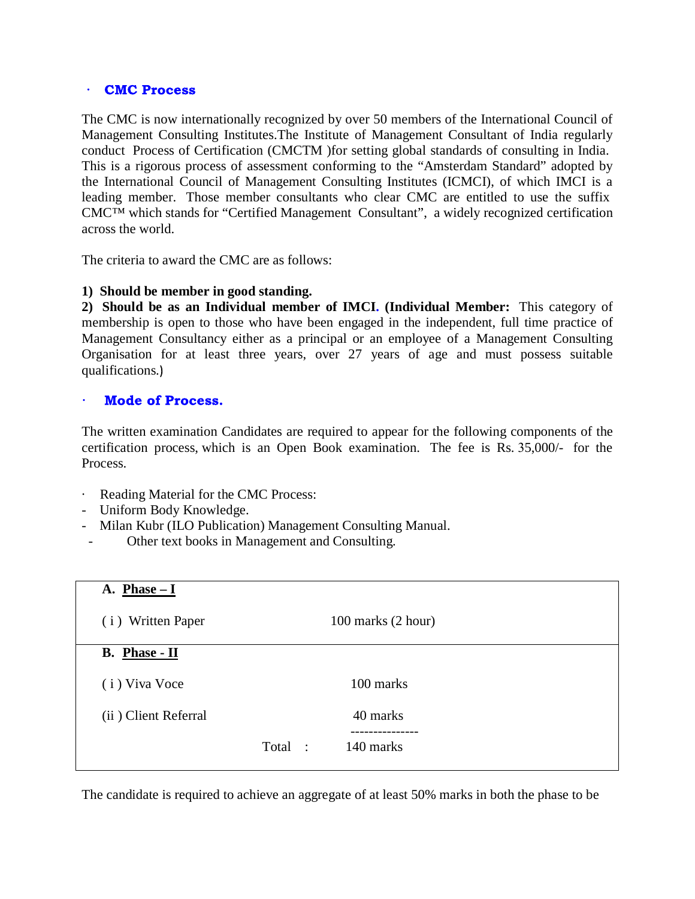## $\bullet$ **CMC Process**

The CMC is now internationally recognized by over 50 members of the International Council of Management Consulting Institutes.The Institute of Management Consultant of India regularly conduct Process of Certification (CMCTM )for setting global standards of consulting in India. This is a rigorous process of assessment conforming to the "Amsterdam Standard" adopted by the International Council of Management Consulting Institutes (ICMCI), of which IMCI is a leading member. Those member consultants who clear CMC are entitled to use the suffix CMC™ which stands for "Certified Management Consultant", a widely recognized certification across the world.

The criteria to award the CMC are as follows:

## **1) Should be member in good standing.**

**2) Should be as an Individual member of IMCI. (Individual Member:** This category of membership is open to those who have been engaged in the independent, full time practice of Management Consultancy either as a principal or an employee of a Management Consulting Organisation for at least three years, over 27 years of age and must possess suitable qualifications.

The written examination Candidates are required to appear for the following components of the Process. qualifications.)<br> **Mode of Process.**<br>
The written examination Candidates are required to appear for the following components of the<br>
certification process, which is an Open Book examination. The fee is Rs. 35,000/- for the

- Reading Material for the CMC Process:
- Uniform Body Knowledge.
- Milan Kubr (ILO Publication) Management Consulting Manual.
- Other text books in Management and Consulting.

| A. $Phase - I$       |                      |  |
|----------------------|----------------------|--|
| (i) Written Paper    | 100 marks (2 hour)   |  |
| B. Phase - II        |                      |  |
| (i) Viva Voce        | 100 marks            |  |
| (ii) Client Referral | 40 marks             |  |
|                      | Total :<br>140 marks |  |

The candidate is required to achieve an aggregate of at least 50% marks in both the phase to be